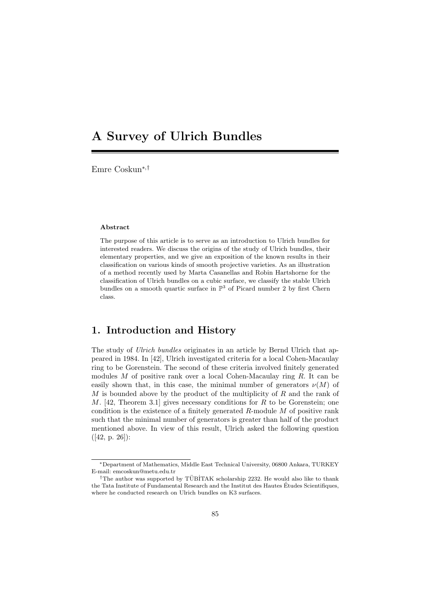# **A Survey of Ulrich Bundles**

Emre Coskun*∗*,*†*

#### **Abstract**

The purpose of this article is to serve as an introduction to Ulrich bundles for interested readers. We discuss the origins of the study of Ulrich bundles, their elementary properties, and we give an exposition of the known results in their classification on various kinds of smooth projective varieties. As an illustration of a method recently used by Marta Casanellas and Robin Hartshorne for the classification of Ulrich bundles on a cubic surface, we classify the stable Ulrich bundles on a smooth quartic surface in  $\mathbb{P}^3$  of Picard number 2 by first Chern class.

### **1. Introduction and History**

The study of *Ulrich bundles* originates in an article by Bernd Ulrich that appeared in 1984. In [42], Ulrich investigated criteria for a local Cohen-Macaulay ring to be Gorenstein. The second of these criteria involved finitely generated modules *M* of positive rank over a local Cohen-Macaulay ring *R*. It can be easily shown that, in this case, the minimal number of generators  $\nu(M)$  of *M* is bounded above by the product of the multiplicity of *R* and the rank of *M*. [42, Theorem 3.1] gives necessary conditions for *R* to be Gorenstein; one condition is the existence of a finitely generated *R*-module *M* of positive rank such that the minimal number of generators is greater than half of the product mentioned above. In view of this result, Ulrich asked the following question  $([42, p. 26])$ :

*<sup>∗</sup>*Department of Mathematics, Middle East Technical University, 06800 Ankara, TURKEY E-mail: emcoskun@metu.edu.tr

<sup>&</sup>lt;sup>†</sup>The author was supported by TÜBİTAK scholarship 2232. He would also like to thank the Tata Institute of Fundamental Research and the Institut des Hautes Etudes Scientifiques, ´ where he conducted research on Ulrich bundles on K3 surfaces.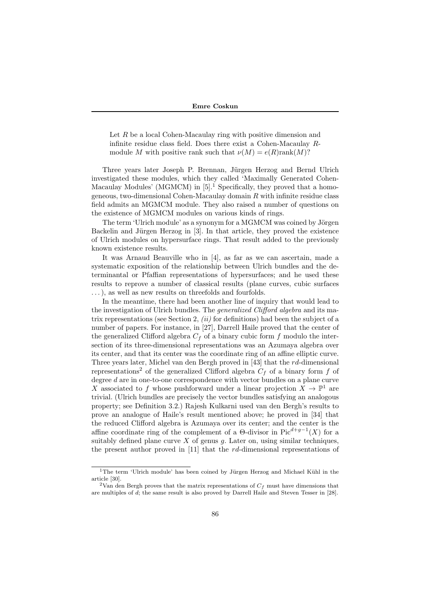Let *R* be a local Cohen-Macaulay ring with positive dimension and infinite residue class field. Does there exist a Cohen-Macaulay *R*module *M* with positive rank such that  $\nu(M) = e(R)$ rank $(M)$ ?

Three years later Joseph P. Brennan, Jürgen Herzog and Bernd Ulrich investigated these modules, which they called 'Maximally Generated Cohen-Macaulay Modules' (MGMCM) in  $[5]$ <sup>1</sup> Specifically, they proved that a homogeneous, two-dimensional Cohen-Macaulay domain *R* with infinite residue class field admits an MGMCM module. They also raised a number of questions on the existence of MGMCM modules on various kinds of rings.

The term 'Ulrich module' as a synonym for a MGMCM was coined by Jörgen Backelin and Jürgen Herzog in  $[3]$ . In that article, they proved the existence of Ulrich modules on hypersurface rings. That result added to the previously known existence results.

It was Arnaud Beauville who in [4], as far as we can ascertain, made a systematic exposition of the relationship between Ulrich bundles and the determinantal or Pfaffian representations of hypersurfaces; and he used these results to reprove a number of classical results (plane curves, cubic surfaces ...), as well as new results on threefolds and fourfolds.

In the meantime, there had been another line of inquiry that would lead to the investigation of Ulrich bundles. The *generalized Clifford algebra* and its matrix representations (see Section 2, *(ii)* for definitions) had been the subject of a number of papers. For instance, in [27], Darrell Haile proved that the center of the generalized Clifford algebra  $C_f$  of a binary cubic form  $f$  modulo the intersection of its three-dimensional representations was an Azumaya algebra over its center, and that its center was the coordinate ring of an affine elliptic curve. Three years later, Michel van den Bergh proved in [43] that the *rd*-dimensional representations<sup>2</sup> of the generalized Clifford algebra  $C_f$  of a binary form  $f$  of degree *d* are in one-to-one correspondence with vector bundles on a plane curve *X* associated to *f* whose pushforward under a linear projection  $X \to \mathbb{P}^1$  are trivial. (Ulrich bundles are precisely the vector bundles satisfying an analogous property; see Definition 3.2.) Rajesh Kulkarni used van den Bergh's results to prove an analogue of Haile's result mentioned above; he proved in [34] that the reduced Clifford algebra is Azumaya over its center; and the center is the affine coordinate ring of the complement of a  $\Theta$ -divisor in Pic<sup> $d+g-1$ </sup>(*X*) for a suitably defined plane curve *X* of genus *g*. Later on, using similar techniques, the present author proved in [11] that the *rd*-dimensional representations of

<sup>&</sup>lt;sup>1</sup>The term 'Ulrich module' has been coined by Jürgen Herzog and Michael Kühl in the article [30].

<sup>&</sup>lt;sup>2</sup>Van den Bergh proves that the matrix representations of  $C_f$  must have dimensions that are multiples of *d*; the same result is also proved by Darrell Haile and Steven Tesser in [28].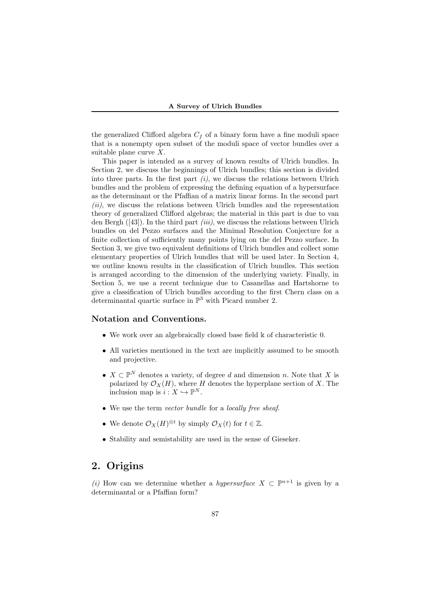the generalized Clifford algebra  $C_f$  of a binary form have a fine moduli space that is a nonempty open subset of the moduli space of vector bundles over a suitable plane curve *X*.

This paper is intended as a survey of known results of Ulrich bundles. In Section 2, we discuss the beginnings of Ulrich bundles; this section is divided into three parts. In the first part *(i)*, we discuss the relations between Ulrich bundles and the problem of expressing the defining equation of a hypersurface as the determinant or the Pfaffian of a matrix linear forms. In the second part *(ii)*, we discuss the relations between Ulrich bundles and the representation theory of generalized Clifford algebras; the material in this part is due to van den Bergh ([43]). In the third part *(iii)*, we discuss the relations between Ulrich bundles on del Pezzo surfaces and the Minimal Resolution Conjecture for a finite collection of sufficiently many points lying on the del Pezzo surface. In Section 3, we give two equivalent definitions of Ulrich bundles and collect some elementary properties of Ulrich bundles that will be used later. In Section 4, we outline known results in the classification of Ulrich bundles. This section is arranged according to the dimension of the underlying variety. Finally, in Section 5, we use a recent technique due to Casanellas and Hartshorne to give a classification of Ulrich bundles according to the first Chern class on a determinantal quartic surface in  $\mathbb{P}^3$  with Picard number 2.

### **Notation and Conventions.**

- We work over an algebraically closed base field  $\Bbbk$  of characteristic 0.
- *•* All varieties mentioned in the text are implicitly assumed to be smooth and projective.
- $X \subset \mathbb{P}^N$  denotes a variety, of degree *d* and dimension *n*. Note that *X* is polarized by  $\mathcal{O}_X(H)$ , where *H* denotes the hyperplane section of *X*. The inclusion map is  $i: X \hookrightarrow \mathbb{P}^N$ .
- *•* We use the term *vector bundle* for a *locally free sheaf*.
- We denote  $\mathcal{O}_X(H)^{\otimes t}$  by simply  $\mathcal{O}_X(t)$  for  $t \in \mathbb{Z}$ .
- *•* Stability and semistability are used in the sense of Gieseker.

## **2. Origins**

*(i)* How can we determine whether a *hypersurface*  $X \subset \mathbb{P}^{n+1}$  is given by a determinantal or a Pfaffian form?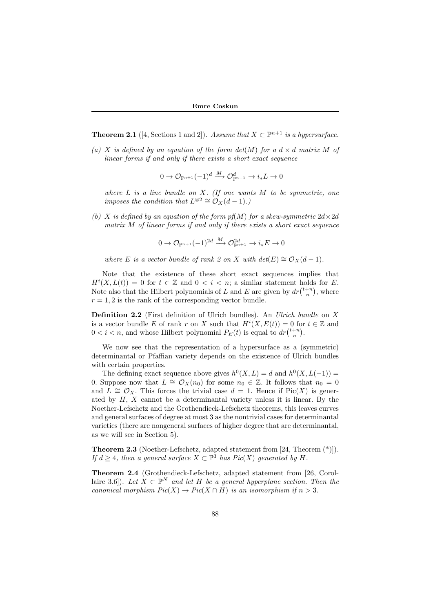**Theorem 2.1** ([4, Sections 1 and 2]). *Assume that*  $X \subset \mathbb{P}^{n+1}$  *is a hypersurface.* 

(a) *X* is defined by an equation of the form  $det(M)$  for a  $d \times d$  matrix M of *linear forms if and only if there exists a short exact sequence*

$$
0 \to \mathcal{O}_{\mathbb{P}^{n+1}}(-1)^d \xrightarrow{M} \mathcal{O}_{\mathbb{P}^{n+1}}^d \to i_*L \to 0
$$

*where L is a line bundle on X. (If one wants M to be symmetric, one imposes the condition that*  $L^{\otimes 2} \cong O_X(d-1)$ *.*)

*(b) X is defined by an equation of the form*  $pf(M)$  *for a skew-symmetric*  $2d \times 2d$ *matrix M of linear forms if and only if there exists a short exact sequence*

$$
0 \to \mathcal{O}_{\mathbb{P}^{n+1}}(-1)^{2d} \xrightarrow{M} \mathcal{O}_{\mathbb{P}^{n+1}}^{2d} \to i_*E \to 0
$$

*where E is a vector bundle of rank 2 on X with det*(*E*)  $\cong \mathcal{O}_X(d-1)$ *.* 

Note that the existence of these short exact sequences implies that  $H^{i}(X, L(t)) = 0$  for  $t \in \mathbb{Z}$  and  $0 < i < n$ ; a similar statement holds for *E*. Note also that the Hilbert polynomials of *L* and *E* are given by  $dr\binom{t+n}{n}$ , where  $r = 1, 2$  is the rank of the corresponding vector bundle.

**Definition 2.2** (First definition of Ulrich bundles). An *Ulrich bundle* on *X* is a vector bundle *E* of rank *r* on *X* such that  $H^{i}(X, E(t)) = 0$  for  $t \in \mathbb{Z}$  and  $0 < i < n$ , and whose Hilbert polynomial  $P_E(t)$  is equal to  $dr\binom{t+n}{n}$ .

We now see that the representation of a hypersurface as a (symmetric) determinantal or Pfaffian variety depends on the existence of Ulrich bundles with certain properties.

The defining exact sequence above gives  $h^0(X, L) = d$  and  $h^0(X, L(-1)) =$ 0. Suppose now that  $L \cong \mathcal{O}_X(n_0)$  for some  $n_0 \in \mathbb{Z}$ . It follows that  $n_0 = 0$ and  $L \cong \mathcal{O}_X$ . This forces the trivial case  $d = 1$ . Hence if Pic(X) is generated by *H*, *X* cannot be a determinantal variety unless it is linear. By the Noether-Lefschetz and the Grothendieck-Lefschetz theorems, this leaves curves and general surfaces of degree at most 3 as the nontrivial cases for determinantal varieties (there are nongeneral surfaces of higher degree that are determinantal, as we will see in Section 5).

**Theorem 2.3** (Noether-Lefschetz, adapted statement from [24, Theorem (\*)]). *If*  $d \geq 4$ *, then a general surface*  $X \subset \mathbb{P}^3$  *has Pic*(*X*) *generated by H.* 

**Theorem 2.4** (Grothendieck-Lefschetz, adapted statement from [26, Corollaire 3.6]). Let  $X \subset \mathbb{P}^N$  and let H be a general hyperplane section. Then the *canonical morphism*  $Pic(X) \to Pic(X \cap H)$  *is an isomorphism if*  $n > 3$ .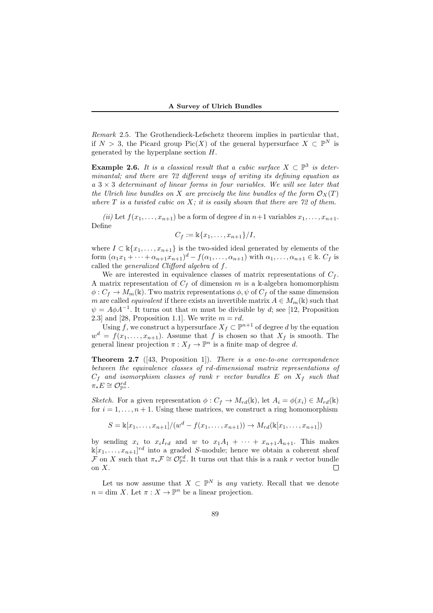*Remark* 2.5*.* The Grothendieck-Lefschetz theorem implies in particular that, if  $N > 3$ , the Picard group Pic(X) of the general hypersurface  $X \subset \mathbb{P}^N$  is generated by the hyperplane section *H*.

**Example 2.6.** *It is a classical result that a cubic surface*  $X \subset \mathbb{P}^3$  *is determinantal; and there are 72 different ways of writing its defining equation as a* 3 *×* 3 *determinant of linear forms in four variables. We will see later that the Ulrich line bundles on X* are precisely the line bundles of the form  $\mathcal{O}_X(T)$ *where T is a twisted cubic on X; it is easily shown that there are 72 of them.*

*(ii)* Let  $f(x_1, \ldots, x_{n+1})$  be a form of degree *d* in  $n+1$  variables  $x_1, \ldots, x_{n+1}$ . Define

$$
C_f := \mathbb{k}\{x_1,\ldots,x_{n+1}\}/I,
$$

where  $I \subset \mathbb{K}\{x_1,\ldots,x_{n+1}\}$  is the two-sided ideal generated by elements of the form  $(\alpha_1 x_1 + \cdots + \alpha_{n+1} x_{n+1})^d - f(\alpha_1, \ldots, \alpha_{n+1})$  with  $\alpha_1, \ldots, \alpha_{n+1} \in \mathbb{k}$ .  $C_f$  is called the *generalized Clifford algebra* of *f*.

We are interested in equivalence classes of matrix representations of  $C_f$ . A matrix representation of  $C_f$  of dimension  $m$  is a k-algebra homomorphism  $\phi: C_f \to M_m(\mathbb{k})$ . Two matrix representations  $\phi, \psi$  of  $C_f$  of the same dimension *m* are called *equivalent* if there exists an invertible matrix  $A \in M_m(\mathbb{k})$  such that  $\psi = A\phi A^{-1}$ . It turns out that *m* must be divisible by *d*; see [12, Proposition 2.3] and [28, Proposition 1.1]. We write  $m = rd$ .

Using *f*, we construct a hypersurface  $X_f \subset \mathbb{P}^{n+1}$  of degree *d* by the equation  $w^d = f(x_1, \ldots, x_{n+1})$ . Assume that *f* is chosen so that  $X_f$  is smooth. The general linear projection  $\pi : X_f \to \mathbb{P}^n$  is a finite map of degree *d*.

**Theorem 2.7** ([43, Proposition 1]). *There is a one-to-one correspondence between the equivalence classes of rd-dimensional matrix representations of C<sup>f</sup> and isomorphism classes of rank r vector bundles E on X<sup>f</sup> such that*  $\pi_* E \cong \mathcal{O}_{\mathbb{P}^n}^{rd}$ .

*Sketch.* For a given representation  $\phi: C_f \to M_{rd}(\mathbb{k})$ , let  $A_i = \phi(x_i) \in M_{rd}(\mathbb{k})$ for  $i = 1, \ldots, n + 1$ . Using these matrices, we construct a ring homomorphism

$$
S = \mathbb{k}[x_1, \dots, x_{n+1}]/(w^d - f(x_1, \dots, x_{n+1})) \to M_{rd}(\mathbb{k}[x_1, \dots, x_{n+1}])
$$

by sending  $x_i$  to  $x_iI_{rd}$  and  $w$  to  $x_1A_1 + \cdots + x_{n+1}A_{n+1}$ . This makes  $\mathbb{K}[x_1,\ldots,x_{n+1}]^{rd}$  into a graded *S*-module; hence we obtain a coherent sheaf  $\mathcal{F}$  on *X* such that  $\pi_* \mathcal{F} \cong \mathcal{O}_{\mathbb{P}^n}^{\{rd\}}$ . It turns out that this is a rank *r* vector bundle on *X*.

Let us now assume that  $X \subset \mathbb{P}^N$  is *any* variety. Recall that we denote  $n = \dim X$ . Let  $\pi : X \to \mathbb{P}^n$  be a linear projection.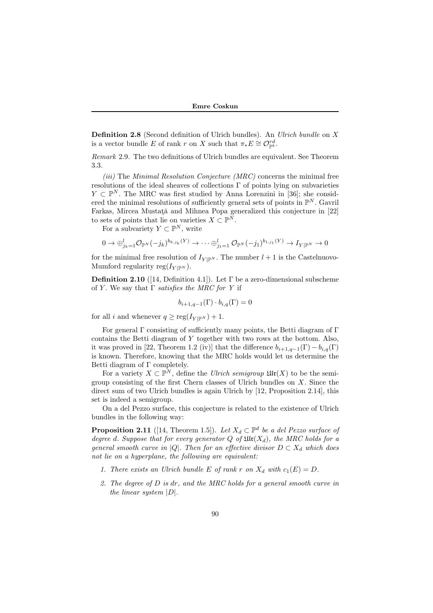**Definition 2.8** (Second definition of Ulrich bundles). An *Ulrich bundle* on *X* is a vector bundle *E* of rank *r* on *X* such that  $\pi_* E \cong \mathcal{O}_{\mathbb{P}^k}^{rd}$ .

*Remark* 2.9*.* The two definitions of Ulrich bundles are equivalent. See Theorem 3.3.

*(iii)* The *Minimal Resolution Conjecture (MRC)* concerns the minimal free resolutions of the ideal sheaves of collections Γ of points lying on subvarieties *Y* ⊂  $\mathbb{P}^N$ . The MRC was first studied by Anna Lorenzini in [36]; she considered the minimal resolutions of sufficiently general sets of points in  $\mathbb{P}^N$ . Gavril Farkas, Mircea Mustață and Mihnea Popa generalized this conjecture in [22] to sets of points that lie on varieties  $X \subset \mathbb{P}^N$ .

For a subvariety  $Y \subset \mathbb{P}^N$ , write

$$
0 \to \bigoplus_{j_k=1}^l \mathcal{O}_{\mathbb{P}^N}(-j_k)^{b_{k,j_k}(Y)} \to \cdots \bigoplus_{j_1=1}^l \mathcal{O}_{\mathbb{P}^N}(-j_1)^{b_{1,j_1}(Y)} \to I_{Y|\mathbb{P}^N} \to 0
$$

for the minimal free resolution of  $I_{Y|\mathbb{P}^N}$ . The number  $l+1$  is the Castelnuovo-Mumford regularity reg $(I_{Y|{\mathbb P}^N})$ .

**Definition 2.10** ([14, Definition 4.1]). Let  $\Gamma$  be a zero-dimensional subscheme of *Y* . We say that Γ *satisfies the MRC for Y* if

$$
b_{i+1,q-1}(\Gamma) \cdot b_{i,q}(\Gamma) = 0
$$

for all *i* and whenever  $q \geq \text{reg}(I_{Y|\mathbb{P}^N}) + 1$ .

For general Γ consisting of sufficiently many points, the Betti diagram of Γ contains the Betti diagram of *Y* together with two rows at the bottom. Also, it was proved in [22, Theorem 1.2 (iv)] that the difference  $b_{i+1,q-1}(\Gamma) - b_{i,q}(\Gamma)$ is known. Therefore, knowing that the MRC holds would let us determine the Betti diagram of Γ completely.

For a variety  $X \subset \mathbb{P}^N$ , define the *Ulrich semigroup*  $\mathfrak{Ulr}(X)$  to be the semigroup consisting of the first Chern classes of Ulrich bundles on *X*. Since the direct sum of two Ulrich bundles is again Ulrich by [12, Proposition 2.14], this set is indeed a semigroup.

On a del Pezzo surface, this conjecture is related to the existence of Ulrich bundles in the following way:

**Proposition 2.11** ([14, Theorem 1.5]). Let  $X_d \subset \mathbb{P}^d$  be a del Pezzo surface of *degree d.* Suppose that for every generator Q of  $\mathfrak{Ulr}(X_d)$ , the MRC holds for a *general smooth curve in*  $|Q|$ *. Then for an effective divisor*  $D \subset X_d$  *which does not lie on a hyperplane, the following are equivalent:*

- 1. There exists an Ulrich bundle  $E$  of rank  $r$  on  $X_d$  with  $c_1(E) = D$ .
- *2. The degree of D is dr, and the MRC holds for a general smooth curve in the linear system |D|.*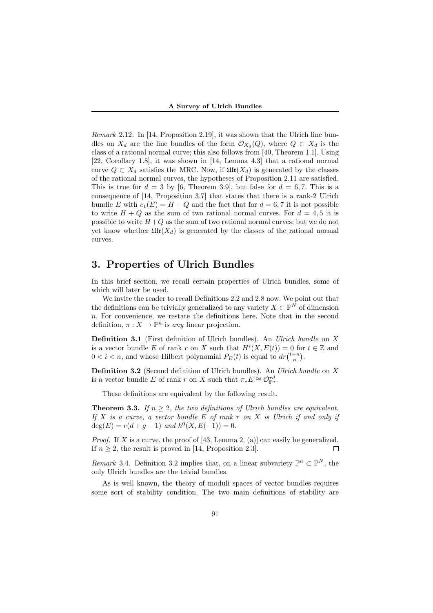*Remark* 2.12*.* In [14, Proposition 2.19], it was shown that the Ulrich line bundles on  $X_d$  are the line bundles of the form  $\mathcal{O}_{X_d}(Q)$ , where  $Q \subset X_d$  is the class of a rational normal curve; this also follows from [40, Theorem 1.1]. Using [22, Corollary 1.8], it was shown in [14, Lemma 4.3] that a rational normal curve  $Q \subset X_d$  satisfies the MRC. Now, if  $\mathfrak{Ulr}(X_d)$  is generated by the classes of the rational normal curves, the hypotheses of Proposition 2.11 are satisfied. This is true for  $d = 3$  by [6, Theorem 3.9], but false for  $d = 6, 7$ . This is a consequence of [14, Proposition 3.7] that states that there is a rank-2 Ulrich bundle *E* with  $c_1(E) = H + Q$  and the fact that for  $d = 6, 7$  it is not possible to write  $H + Q$  as the sum of two rational normal curves. For  $d = 4, 5$  it is possible to write  $H+Q$  as the sum of two rational normal curves; but we do not yet know whether  $\mathfrak{U}\mathfrak{tr}(X_d)$  is generated by the classes of the rational normal curves.

### **3. Properties of Ulrich Bundles**

In this brief section, we recall certain properties of Ulrich bundles, some of which will later be used.

We invite the reader to recall Definitions 2.2 and 2.8 now. We point out that the definitions can be trivially generalized to any variety  $X \subset \mathbb{P}^N$  of dimension *n*. For convenience, we restate the definitions here. Note that in the second definition,  $\pi: X \to \mathbb{P}^n$  is *any* linear projection.

**Definition 3.1** (First definition of Ulrich bundles). An *Ulrich bundle* on *X* is a vector bundle *E* of rank *r* on *X* such that  $H^{i}(X, E(t)) = 0$  for  $t \in \mathbb{Z}$  and  $0 < i < n$ , and whose Hilbert polynomial  $P_E(t)$  is equal to  $dr\binom{t+n}{n}$ .

**Definition 3.2** (Second definition of Ulrich bundles). An *Ulrich bundle* on *X* is a vector bundle *E* of rank *r* on *X* such that  $\pi_* E \cong \mathcal{O}_{\mathbb{P}^n}^{\{rd\}}$ .

These definitions are equivalent by the following result.

**Theorem 3.3.** *If*  $n \geq 2$ *, the two definitions of Ulrich bundles are equivalent. If X is a curve, a vector bundle E of rank r on X is Ulrich if and only if*  $deg(E) = r(d + g - 1)$  *and*  $h^0(X, E(-1)) = 0$ *.* 

*Proof.* If *X* is a curve, the proof of [43, Lemma 2, (a)] can easily be generalized. If  $n \geq 2$ , the result is proved in [14, Proposition 2.3].  $\Box$ 

*Remark* 3.4. Definition 3.2 implies that, on a linear subvariety  $\mathbb{P}^n \subset \mathbb{P}^N$ , the only Ulrich bundles are the trivial bundles.

As is well known, the theory of moduli spaces of vector bundles requires some sort of stability condition. The two main definitions of stability are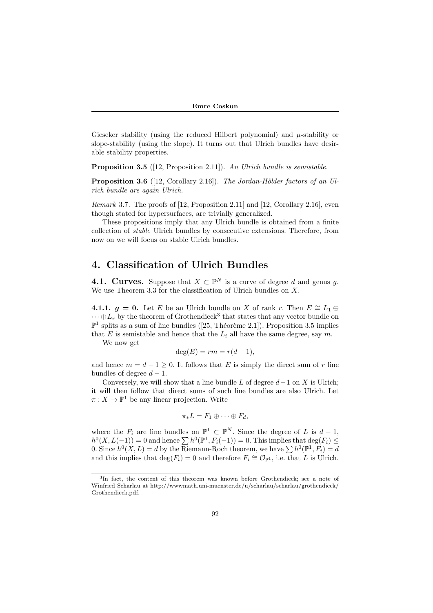Gieseker stability (using the reduced Hilbert polynomial) and *µ*-stability or slope-stability (using the slope). It turns out that Ulrich bundles have desirable stability properties.

**Proposition 3.5** ([12, Proposition 2.11]). *An Ulrich bundle is semistable.*

**Proposition 3.6** ([12, Corollary 2.16]). *The Jordan-Hölder factors of an Ulrich bundle are again Ulrich.*

*Remark* 3.7*.* The proofs of [12, Proposition 2.11] and [12, Corollary 2.16], even though stated for hypersurfaces, are trivially generalized.

These propositions imply that any Ulrich bundle is obtained from a finite collection of *stable* Ulrich bundles by consecutive extensions. Therefore, from now on we will focus on stable Ulrich bundles.

### **4. Classification of Ulrich Bundles**

**4.1. Curves.** Suppose that  $X \subset \mathbb{P}^N$  is a curve of degree *d* and genus *g*. We use Theorem 3.3 for the classification of Ulrich bundles on *X*.

**4.1.1.**  $g = 0$ . Let *E* be an Ulrich bundle on *X* of rank *r*. Then  $E \cong L_1 \oplus$  $\dots \oplus L_r$  by the theorem of Grothendieck<sup>3</sup> that states that any vector bundle on  $\mathbb{P}^1$  splits as a sum of line bundles ([25, Théorème 2.1]). Proposition 3.5 implies that  $E$  is semistable and hence that the  $L_i$  all have the same degree, say  $m$ .

We now get

$$
\deg(E) = rm = r(d-1),
$$

and hence  $m = d - 1 \geq 0$ . It follows that *E* is simply the direct sum of *r* line bundles of degree  $d-1$ .

Conversely, we will show that a line bundle  $L$  of degree  $d-1$  on  $X$  is Ulrich; it will then follow that direct sums of such line bundles are also Ulrich. Let  $\pi: X \to \mathbb{P}^1$  be any linear projection. Write

$$
\pi_*L = F_1 \oplus \cdots \oplus F_d,
$$

where the  $F_i$  are line bundles on  $\mathbb{P}^1 \subset \mathbb{P}^N$ . Since the degree of *L* is  $d-1$ ,  $h^0(X, L(-1)) = 0$  and hence  $\sum h^0(\mathbb{P}^1, F_i(-1)) = 0$ . This implies that  $\deg(F_i) \le$ 0. Since  $h^0(X, L) = d$  by the Riemann-Roch theorem, we have  $\sum h^0(\mathbb{P}^1, F_i) = d$ and this implies that  $\deg(F_i) = 0$  and therefore  $F_i \cong \mathcal{O}_{\mathbb{P}^1}$ , i.e. that *L* is Ulrich.

<sup>3</sup> In fact, the content of this theorem was known before Grothendieck; see a note of Winfried Scharlau at http://wwwmath.uni-muenster.de/u/scharlau/scharlau/grothendieck/ Grothendieck.pdf.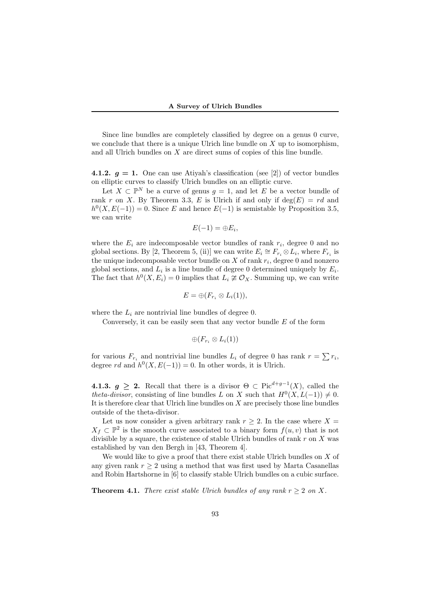Since line bundles are completely classified by degree on a genus 0 curve, we conclude that there is a unique Ulrich line bundle on *X* up to isomorphism, and all Ulrich bundles on *X* are direct sums of copies of this line bundle.

**4.1.2.**  $q = 1$ . One can use Atiyah's classification (see [2]) of vector bundles on elliptic curves to classify Ulrich bundles on an elliptic curve.

Let  $X \subset \mathbb{P}^N$  be a curve of genus  $g = 1$ , and let *E* be a vector bundle of rank *r* on *X*. By Theorem 3.3, *E* is Ulrich if and only if  $deg(E) = rd$  and  $h^0(X, E(-1)) = 0$ . Since *E* and hence  $E(-1)$  is semistable by Proposition 3.5, we can write

$$
E(-1)=\oplus E_i,
$$

where the  $E_i$  are indecomposable vector bundles of rank  $r_i$ , degree 0 and no global sections. By [2, Theorem 5, (ii)] we can write  $E_i \cong F_{r_i} \otimes L_i$ , where  $F_{r_i}$  is the unique indecomposable vector bundle on *X* of rank *r<sup>i</sup>* , degree 0 and nonzero global sections, and  $L_i$  is a line bundle of degree 0 determined uniquely by  $E_i$ . The fact that  $h^0(X, E_i) = 0$  implies that  $L_i \not\cong \mathcal{O}_X$ . Summing up, we can write

$$
E=\oplus(F_{r_i}\otimes L_i(1)),
$$

where the  $L_i$  are nontrivial line bundles of degree 0.

Conversely, it can be easily seen that any vector bundle *E* of the form

$$
\oplus(F_{r_i}\otimes L_i(1))
$$

for various  $F_{r_i}$  and nontrivial line bundles  $L_i$  of degree 0 has rank  $r = \sum r_i$ , degree *rd* and  $h^0(X, E(-1)) = 0$ . In other words, it is Ulrich.

**4.1.3.**  $g \geq 2$ . Recall that there is a divisor  $\Theta \subset \text{Pic}^{d+g-1}(X)$ , called the *theta-divisor*, consisting of line bundles *L* on *X* such that  $H^0(X, L(-1)) \neq 0$ . It is therefore clear that Ulrich line bundles on *X* are precisely those line bundles outside of the theta-divisor.

Let us now consider a given arbitrary rank  $r \geq 2$ . In the case where  $X =$  $X_f \subset \mathbb{P}^2$  is the smooth curve associated to a binary form  $f(u, v)$  that is not divisible by a square, the existence of stable Ulrich bundles of rank *r* on *X* was established by van den Bergh in [43, Theorem 4].

We would like to give a proof that there exist stable Ulrich bundles on *X* of any given rank  $r \geq 2$  using a method that was first used by Marta Casanellas and Robin Hartshorne in [6] to classify stable Ulrich bundles on a cubic surface.

**Theorem 4.1.** *There exist stable Ulrich bundles of any rank*  $r > 2$  *on*  $X$ *.*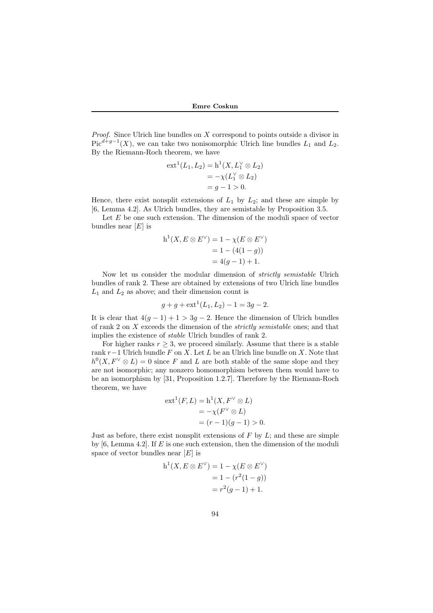*Proof.* Since Ulrich line bundles on *X* correspond to points outside a divisor in  $Pic^{d+g-1}(X)$ , we can take two nonisomorphic Ulrich line bundles  $L_1$  and  $L_2$ . By the Riemann-Roch theorem, we have

$$
\operatorname{ext}^{1}(L_{1}, L_{2}) = \operatorname{h}^{1}(X, L_{1}^{\vee} \otimes L_{2})
$$
  
= -\chi(L\_{1}^{\vee} \otimes L\_{2})  
= g - 1 > 0.

Hence, there exist nonsplit extensions of  $L_1$  by  $L_2$ ; and these are simple by [6, Lemma 4.2]. As Ulrich bundles, they are semistable by Proposition 3.5.

Let *E* be one such extension. The dimension of the moduli space of vector bundles near [*E*] is

$$
h^{1}(X, E \otimes E^{\vee}) = 1 - \chi(E \otimes E^{\vee})
$$
  
= 1 - (4(1 - g))  
= 4(g - 1) + 1.

Now let us consider the modular dimension of *strictly semistable* Ulrich bundles of rank 2. These are obtained by extensions of two Ulrich line bundles  $L_1$  and  $L_2$  as above; and their dimension count is

$$
g + g + \text{ext}^1(L_1, L_2) - 1 = 3g - 2.
$$

It is clear that  $4(g - 1) + 1 > 3g - 2$ . Hence the dimension of Ulrich bundles of rank 2 on *X* exceeds the dimension of the *strictly semistable* ones; and that implies the existence of *stable* Ulrich bundles of rank 2.

For higher ranks  $r \geq 3$ , we proceed similarly. Assume that there is a stable rank *r−*1 Ulrich bundle *F* on *X*. Let *L* be an Ulrich line bundle on *X*. Note that  $h^0(X, F^{\vee} \otimes L) = 0$  since *F* and *L* are both stable of the same slope and they are not isomorphic; any nonzero homomorphism between them would have to be an isomorphism by [31, Proposition 1.2.7]. Therefore by the Riemann-Roch theorem, we have

$$
ext1(F, L) = h1(X, FV \otimes L)
$$
  
=  $-\chi(FV \otimes L)$   
=  $(r - 1)(g - 1) > 0$ .

Just as before, there exist nonsplit extensions of *F* by *L*; and these are simple by [6, Lemma 4.2]. If *E* is one such extension, then the dimension of the moduli space of vector bundles near [*E*] is

$$
h^{1}(X, E \otimes E^{\vee}) = 1 - \chi(E \otimes E^{\vee})
$$
  
= 1 - (r<sup>2</sup>(1 - g))  
= r<sup>2</sup>(g - 1) + 1.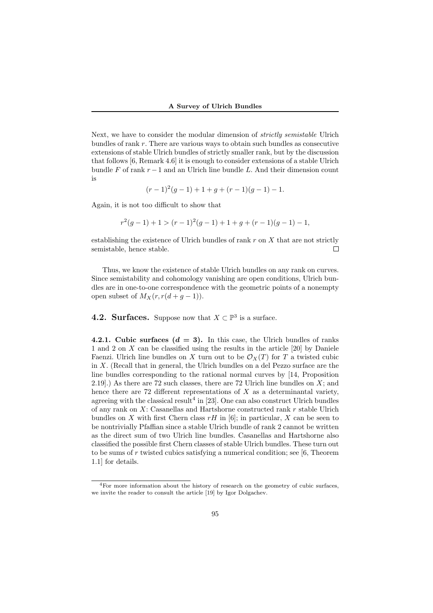Next, we have to consider the modular dimension of *strictly semistable* Ulrich bundles of rank *r*. There are various ways to obtain such bundles as consecutive extensions of stable Ulrich bundles of strictly smaller rank, but by the discussion that follows [6, Remark 4.6] it is enough to consider extensions of a stable Ulrich bundle  $F$  of rank  $r-1$  and an Ulrich line bundle  $L$ . And their dimension count is

$$
(r-1)^2(g-1) + 1 + g + (r-1)(g-1) - 1.
$$

Again, it is not too difficult to show that

$$
r2(g-1) + 1 > (r - 1)2(g - 1) + 1 + g + (r - 1)(g - 1) - 1,
$$

establishing the existence of Ulrich bundles of rank *r* on *X* that are not strictly semistable, hence stable. П

Thus, we know the existence of stable Ulrich bundles on any rank on curves. Since semistability and cohomology vanishing are open conditions, Ulrich bundles are in one-to-one correspondence with the geometric points of a nonempty open subset of  $M_X(r, r(d+g-1)).$ 

**4.2. Surfaces.** Suppose now that  $X \subset \mathbb{P}^3$  is a surface.

**4.2.1. Cubic surfaces**  $(d = 3)$ **.** In this case, the Ulrich bundles of ranks 1 and 2 on *X* can be classified using the results in the article [20] by Daniele Faenzi. Ulrich line bundles on X turn out to be  $\mathcal{O}_X(T)$  for T a twisted cubic in *X*. (Recall that in general, the Ulrich bundles on a del Pezzo surface are the line bundles corresponding to the rational normal curves by [14, Proposition 2.19].) As there are 72 such classes, there are 72 Ulrich line bundles on *X*; and hence there are 72 different representations of *X* as a determinantal variety, agreeing with the classical result<sup>4</sup> in [23]. One can also construct Ulrich bundles of any rank on *X*: Casanellas and Hartshorne constructed rank *r* stable Ulrich bundles on *X* with first Chern class  $rH$  in [6]; in particular, *X* can be seen to be nontrivially Pfaffian since a stable Ulrich bundle of rank 2 cannot be written as the direct sum of two Ulrich line bundles. Casanellas and Hartshorne also classified the possible first Chern classes of stable Ulrich bundles. These turn out to be sums of *r* twisted cubics satisfying a numerical condition; see [6, Theorem 1.1] for details.

<sup>&</sup>lt;sup>4</sup>For more information about the history of research on the geometry of cubic surfaces, we invite the reader to consult the article [19] by Igor Dolgachev.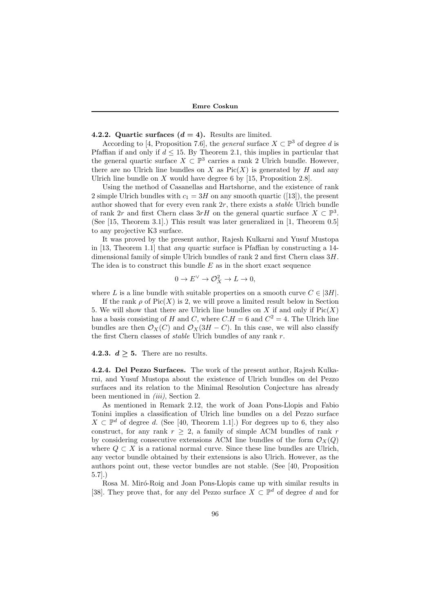#### **4.2.2. Quartic surfaces**  $(d = 4)$ **. Results are limited.**

According to [4, Proposition 7.6], the *general* surface  $X \subset \mathbb{P}^3$  of degree *d* is Pfaffian if and only if  $d \leq 15$ . By Theorem 2.1, this implies in particular that the general quartic surface  $X \subset \mathbb{P}^3$  carries a rank 2 Ulrich bundle. However, there are no Ulrich line bundles on *X* as  $Pic(X)$  is generated by *H* and any Ulrich line bundle on *X* would have degree 6 by [15, Proposition 2.8].

Using the method of Casanellas and Hartshorne, and the existence of rank 2 simple Ulrich bundles with  $c_1 = 3H$  on any smooth quartic ([13]), the present author showed that for every even rank 2*r*, there exists a *stable* Ulrich bundle of rank 2*r* and first Chern class  $3rH$  on the general quartic surface  $X \subset \mathbb{P}^3$ . (See [15, Theorem 3.1].) This result was later generalized in [1, Theorem 0.5] to any projective K3 surface.

It was proved by the present author, Rajesh Kulkarni and Yusuf Mustopa in [13, Theorem 1.1] that *any* quartic surface is Pfaffian by constructing a 14 dimensional family of simple Ulrich bundles of rank 2 and first Chern class 3*H*. The idea is to construct this bundle *E* as in the short exact sequence

$$
0 \to E^{\vee} \to \mathcal{O}_X^2 \to L \to 0,
$$

where *L* is a line bundle with suitable properties on a smooth curve  $C \in |3H|$ .

If the rank  $\rho$  of  $Pic(X)$  is 2, we will prove a limited result below in Section 5. We will show that there are Ulrich line bundles on  $X$  if and only if  $Pic(X)$ has a basis consisting of *H* and *C*, where  $C.H = 6$  and  $C^2 = 4$ . The Ulrich line bundles are then  $\mathcal{O}_X(C)$  and  $\mathcal{O}_X(3H - C)$ . In this case, we will also classify the first Chern classes of *stable* Ulrich bundles of any rank *r*.

### **4.2.3.**  $d \geq 5$ . There are no results.

**4.2.4. Del Pezzo Surfaces.** The work of the present author, Rajesh Kulkarni, and Yusuf Mustopa about the existence of Ulrich bundles on del Pezzo surfaces and its relation to the Minimal Resolution Conjecture has already been mentioned in *(iii)*, Section 2.

As mentioned in Remark 2.12, the work of Joan Pons-Llopis and Fabio Tonini implies a classification of Ulrich line bundles on a del Pezzo surface *X*  $\subset \mathbb{P}^d$  of degree *d*. (See [40, Theorem 1.1].) For degrees up to 6, they also construct, for any rank  $r > 2$ , a family of simple ACM bundles of rank *r* by considering consecutive extensions ACM line bundles of the form  $\mathcal{O}_X(Q)$ where  $Q \subset X$  is a rational normal curve. Since these line bundles are Ulrich, any vector bundle obtained by their extensions is also Ulrich. However, as the authors point out, these vector bundles are not stable. (See [40, Proposition 5.7].)

Rosa M. Miró-Roig and Joan Pons-Llopis came up with similar results in [38]. They prove that, for any del Pezzo surface  $X \subset \mathbb{P}^d$  of degree *d* and for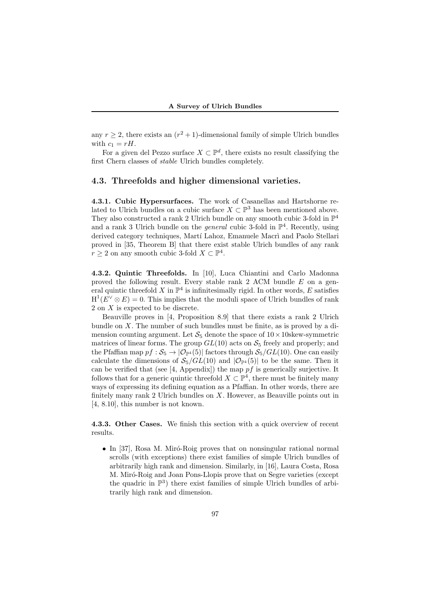any  $r \geq 2$ , there exists an  $(r^2 + 1)$ -dimensional family of simple Ulrich bundles with  $c_1 = rH$ .

For a given del Pezzo surface  $X \subset \mathbb{P}^d$ , there exists no result classifying the first Chern classes of *stable* Ulrich bundles completely.

#### **4.3. Threefolds and higher dimensional varieties.**

**4.3.1. Cubic Hypersurfaces.** The work of Casanellas and Hartshorne related to Ulrich bundles on a cubic surface  $X \subset \mathbb{P}^3$  has been mentioned above. They also constructed a rank 2 Ulrich bundle on any smooth cubic 3-fold in  $\mathbb{P}^4$ and a rank 3 Ulrich bundle on the *general* cubic 3-fold in  $\mathbb{P}^4$ . Recently, using derived category techniques, Martí Lahoz, Emanuele Macrì and Paolo Stellari proved in [35, Theorem B] that there exist stable Ulrich bundles of any rank  $r \geq 2$  on any smooth cubic 3-fold  $X \subset \mathbb{P}^4$ .

**4.3.2. Quintic Threefolds.** In [10], Luca Chiantini and Carlo Madonna proved the following result. Every stable rank 2 ACM bundle *E* on a general quintic threefold  $X$  in  $\mathbb{P}^4$  is infinitesimally rigid. In other words,  $E$  satisfies  $H^1(E^{\vee} \otimes E) = 0$ . This implies that the moduli space of Ulrich bundles of rank 2 on *X* is expected to be discrete.

Beauville proves in [4, Proposition 8.9] that there exists a rank 2 Ulrich bundle on *X*. The number of such bundles must be finite, as is proved by a dimension counting argument. Let  $S_5$  denote the space of  $10 \times 10$ skew-symmetric matrices of linear forms. The group  $GL(10)$  acts on  $S_5$  freely and properly; and the Pfaffian map  $pf : S_5 \to |O_{\mathbb{P}^4}(5)|$  factors through  $S_5/GL(10)$ . One can easily calculate the dimensions of  $S_5/GL(10)$  and  $|\mathcal{O}_{\mathbb{P}^4}(5)|$  to be the same. Then it can be verified that (see [4, Appendix]) the map *pf* is generically surjective. It follows that for a generic quintic threefold  $X \subset \mathbb{P}^4$ , there must be finitely many ways of expressing its defining equation as a Pfaffian. In other words, there are finitely many rank 2 Ulrich bundles on *X*. However, as Beauville points out in [4, 8.10], this number is not known.

**4.3.3. Other Cases.** We finish this section with a quick overview of recent results.

• In [37], Rosa M. Miró-Roig proves that on nonsingular rational normal scrolls (with exceptions) there exist families of simple Ulrich bundles of arbitrarily high rank and dimension. Similarly, in [16], Laura Costa, Rosa M. Miró-Roig and Joan Pons-Llopis prove that on Segre varieties (except the quadric in  $\mathbb{P}^3$ ) there exist families of simple Ulrich bundles of arbitrarily high rank and dimension.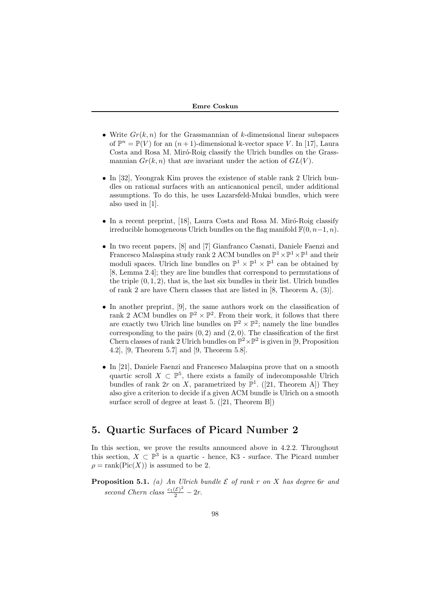- *•* Write *Gr*(*k, n*) for the Grassmannian of *k*-dimensional linear subspaces of  $\mathbb{P}^n = \mathbb{P}(V)$  for an  $(n+1)$ -dimensional k-vector space V. In [17], Laura Costa and Rosa M. Miró-Roig classify the Ulrich bundles on the Grassmannian  $Gr(k, n)$  that are invariant under the action of  $GL(V)$ .
- *•* In [32], Yeongrak Kim proves the existence of stable rank 2 Ulrich bundles on rational surfaces with an anticanonical pencil, under additional assumptions. To do this, he uses Lazarsfeld-Mukai bundles, which were also used in [1].
- In a recent preprint, [18], Laura Costa and Rosa M. Miró-Roig classify irreducible homogeneous Ulrich bundles on the flag manifold  $\mathbb{F}(0, n-1, n)$ .
- *•* In two recent papers, [8] and [7] Gianfranco Casnati, Daniele Faenzi and Francesco Malaspina study rank 2 ACM bundles on  $\mathbb{P}^1 \times \mathbb{P}^1 \times \mathbb{P}^1$  and their moduli spaces. Ulrich line bundles on  $\mathbb{P}^1 \times \mathbb{P}^1 \times \mathbb{P}^1$  can be obtained by [8, Lemma 2.4]; they are line bundles that correspond to permutations of the triple  $(0, 1, 2)$ , that is, the last six bundles in their list. Ulrich bundles of rank 2 are have Chern classes that are listed in [8, Theorem A, (3)].
- *•* In another preprint, [9], the same authors work on the classification of rank 2 ACM bundles on  $\mathbb{P}^2 \times \mathbb{P}^2$ . From their work, it follows that there are exactly two Ulrich line bundles on  $\mathbb{P}^2 \times \mathbb{P}^2$ ; namely the line bundles corresponding to the pairs  $(0, 2)$  and  $(2, 0)$ . The classification of the first Chern classes of rank 2 Ulrich bundles on  $\mathbb{P}^2 \times \mathbb{P}^2$  is given in [9, Proposition 4.2], [9, Theorem 5.7] and [9, Theorem 5.8].
- *•* In [21], Daniele Faenzi and Francesco Malaspina prove that on a smooth quartic scroll  $X \subset \mathbb{P}^5$ , there exists a family of indecomposable Ulrich bundles of rank  $2r$  on  $X$ , parametrized by  $\mathbb{P}^1$ . ([21, Theorem A]) They also give a criterion to decide if a given ACM bundle is Ulrich on a smooth surface scroll of degree at least 5. ([21, Theorem B])

# **5. Quartic Surfaces of Picard Number 2**

In this section, we prove the results announced above in 4.2.2. Throughout this section,  $X \subset \mathbb{P}^3$  is a quartic - hence, K3 - surface. The Picard number  $\rho = \text{rank}(\text{Pic}(X))$  is assumed to be 2.

**Proposition 5.1.** *(a) An Ulrich bundle E of rank r on X has degree* 6*r and second Chern class*  $\frac{c_1(\mathcal{E})^2}{2} - 2r$ .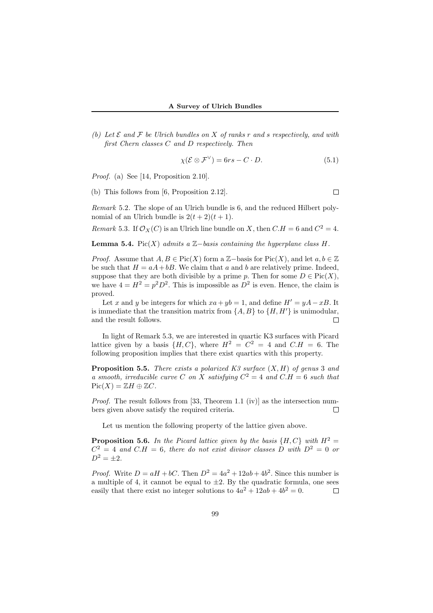*(b)* Let  $\mathcal E$  and  $\mathcal F$  be Ulrich bundles on  $X$  of ranks  $r$  and  $s$  respectively, and with *first Chern classes C and D respectively. Then*

$$
\chi(\mathcal{E} \otimes \mathcal{F}^{\vee}) = 6rs - C \cdot D. \tag{5.1}
$$

*Proof.* (a) See [14, Proposition 2.10].

(b) This follows from [6, Proposition 2.12].

*Remark* 5.2*.* The slope of an Ulrich bundle is 6, and the reduced Hilbert polynomial of an Ulrich bundle is  $2(t+2)(t+1)$ .

*Remark* 5.3. If  $\mathcal{O}_X(C)$  is an Ulrich line bundle on *X*, then  $C.H = 6$  and  $C^2 = 4$ .

**Lemma 5.4.** Pic $(X)$  *admits a*  $\mathbb{Z}-$ *basis containing the hyperplane class*  $H$ *.* 

*Proof.* Assume that  $A, B \in \text{Pic}(X)$  form a Z-basis for Pic(X), and let  $a, b \in \mathbb{Z}$ be such that  $H = aA + bB$ . We claim that *a* and *b* are relatively prime. Indeed, suppose that they are both divisible by a prime *p*. Then for some  $D \in Pic(X)$ , we have  $4 = H^2 = p^2 D^2$ . This is impossible as  $D^2$  is even. Hence, the claim is proved.

Let *x* and *y* be integers for which  $xa + yb = 1$ , and define  $H' = yA - xB$ . It is immediate that the transition matrix from  $\{A, B\}$  to  $\{H, H'\}$  is unimodular, and the result follows.  $\Box$ 

In light of Remark 5.3, we are interested in quartic K3 surfaces with Picard lattice given by a basis  $\{H, C\}$ , where  $H^2 = C^2 = 4$  and  $C.H = 6$ . The following proposition implies that there exist quartics with this property.

**Proposition 5.5.** *There exists a polarized K3 surface* (*X, H*) *of genus* 3 *and a smooth, irreducible curve C on X satisfying*  $C^2 = 4$  *and*  $C.H = 6$  *such that*  $Pic(X) = \mathbb{Z}H \oplus \mathbb{Z}C$ *.* 

*Proof.* The result follows from [33, Theorem 1.1 (iv)] as the intersection numbers given above satisfy the required criteria.  $\Box$ 

Let us mention the following property of the lattice given above.

**Proposition 5.6.** *In the Picard lattice given by the basis*  $\{H, C\}$  *with*  $H^2 =$  $C^2 = 4$  *and*  $C.H = 6$ , there do not exist divisor classes D with  $D^2 = 0$  or  $D^2 = \pm 2$ .

*Proof.* Write  $D = aH + bC$ . Then  $D^2 = 4a^2 + 12ab + 4b^2$ . Since this number is a multiple of 4, it cannot be equal to  $\pm 2$ . By the quadratic formula, one sees easily that there exist no integer solutions to  $4a^2 + 12ab + 4b^2 = 0$ .  $\Box$ 

 $\Box$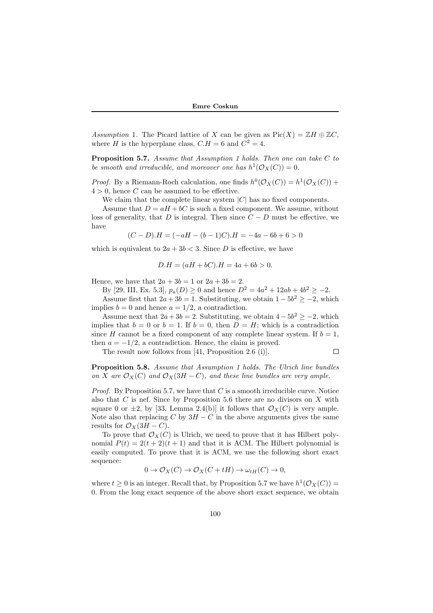*Assumption* 1. The Picard lattice of *X* can be given as  $Pic(X) = \mathbb{Z}H \oplus \mathbb{Z}C$ , where *H* is the hyperplane class,  $C.H = 6$  and  $C^2 = 4$ .

**Proposition 5.7.** *Assume that Assumption 1 holds. Then one can take C to be smooth and irreducible, and moreover one has*  $h^1(\mathcal{O}_X(C)) = 0$ .

*Proof.* By a Riemann-Roch calculation, one finds  $h^0(\mathcal{O}_X(C)) = h^1(\mathcal{O}_X(C))$  +  $4 > 0$ , hence *C* can be assumed to be effective.

We claim that the complete linear system *|C|* has no fixed components.

Assume that  $D = aH + bC$  is such a fixed component. We assume, without loss of generality, that *D* is integral. Then since  $C - D$  must be effective, we have

$$
(C-D).H = (-aH - (b-1)C).H = -4a - 6b + 6 > 0
$$

which is equivalent to  $2a + 3b < 3$ . Since *D* is effective, we have

$$
D.H = (aH + bC).H = 4a + 6b > 0.
$$

Hence, we have that  $2a + 3b = 1$  or  $2a + 3b = 2$ .

By [29, III, Ex. 5.3],  $p_a(D) \ge 0$  and hence  $D^2 = 4a^2 + 12ab + 4b^2 \ge -2$ .

Assume first that  $2a + 3b = 1$ . Substituting, we obtain  $1 - 5b^2 \ge -2$ , which implies  $b = 0$  and hence  $a = 1/2$ , a contradiction.

Assume next that  $2a + 3b = 2$ . Substituting, we obtain  $4 - 5b^2 \ge -2$ , which implies that  $b = 0$  or  $b = 1$ . If  $b = 0$ , then  $D = H$ ; which is a contradiction since *H* cannot be a fixed component of any complete linear system. If  $b = 1$ , then  $a = -1/2$ , a contradiction. Hence, the claim is proved.

The result now follows from [41, Proposition 2.6 (i)].

**Proposition 5.8.** *Assume that Assumption 1 holds. The Ulrich line bundles on X* are  $\mathcal{O}_X(C)$  and  $\mathcal{O}_X(3H - C)$ *, and these line bundles are very ample.* 

 $\Box$ 

*Proof.* By Proposition 5.7, we have that *C* is a smooth irreducible curve. Notice also that *C* is nef. Since by Proposition 5.6 there are no divisors on *X* with square 0 or  $\pm 2$ , by [33, Lemma 2.4(b)] it follows that  $\mathcal{O}_X(C)$  is very ample. Note also that replacing  $C$  by  $3H - C$  in the above arguments gives the same results for  $\mathcal{O}_X(3H - C)$ .

To prove that  $\mathcal{O}_X(C)$  is Ulrich, we need to prove that it has Hilbert polynomial  $P(t) = 2(t+2)(t+1)$  and that it is ACM. The Hilbert polynomial is easily computed. To prove that it is ACM, we use the following short exact sequence:

 $0 \rightarrow \mathcal{O}_X(C) \rightarrow \mathcal{O}_X(C + tH) \rightarrow \omega_{tH}(C) \rightarrow 0$ 

where  $t \geq 0$  is an integer. Recall that, by Proposition 5.7 we have  $h^1(\mathcal{O}_X(C))$  = 0. From the long exact sequence of the above short exact sequence, we obtain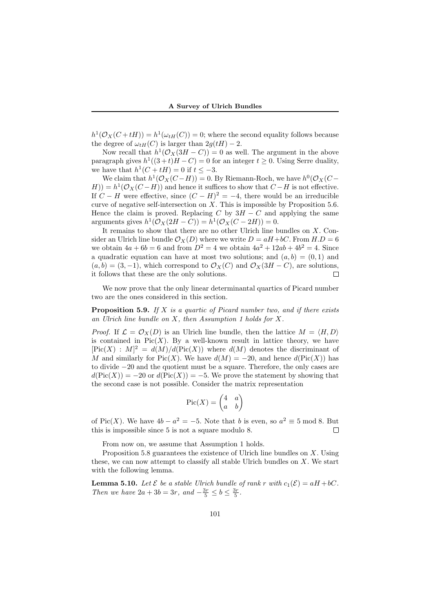$h^1(\mathcal{O}_X(C+ tH)) = h^1(\omega_{tH}(C)) = 0$ ; where the second equality follows because the degree of  $\omega_{tH}(C)$  is larger than  $2q(tH) - 2$ .

Now recall that  $h^1(\mathcal{O}_X(3H - C)) = 0$  as well. The argument in the above paragraph gives  $h^1((3+t)H - C) = 0$  for an integer  $t \geq 0$ . Using Serre duality, we have that  $h^1(C + tH) = 0$  if  $t \leq -3$ .

We claim that  $h^1(\mathcal{O}_X(C-H)) = 0$ . By Riemann-Roch, we have  $h^0(\mathcal{O}_X(C-h))$  $H$ )) =  $h$ <sup>1</sup>( $\mathcal{O}_X$ (*C* − *H*)) and hence it suffices to show that *C* − *H* is not effective. If  $C - H$  were effective, since  $(C - H)^2 = -4$ , there would be an irreducible curve of negative self-intersection on  $\overline{X}$ . This is impossible by Proposition 5.6. Hence the claim is proved. Replacing *C* by  $3H - C$  and applying the same  $\arg$  arguments gives  $h^1(\mathcal{O}_X(2H - C)) = h^1(\mathcal{O}_X(C - 2H)) = 0.$ 

It remains to show that there are no other Ulrich line bundles on *X*. Consider an Ulrich line bundle  $\mathcal{O}_X(D)$  where we write  $D = aH + bC$ . From  $H.D = 6$ we obtain  $4a + 6b = 6$  and from  $D^2 = 4$  we obtain  $4a^2 + 12ab + 4b^2 = 4$ . Since a quadratic equation can have at most two solutions; and  $(a, b) = (0, 1)$  and  $(a, b) = (3, -1)$ , which correspond to  $\mathcal{O}_X(C)$  and  $\mathcal{O}_X(3H - C)$ , are solutions, it follows that these are the only solutions.  $\Box$ 

We now prove that the only linear determinantal quartics of Picard number two are the ones considered in this section.

**Proposition 5.9.** *If X is a quartic of Picard number two, and if there exists an Ulrich line bundle on X, then Assumption 1 holds for X.*

*Proof.* If  $\mathcal{L} = \mathcal{O}_X(D)$  is an Ulrich line bundle, then the lattice  $M = \langle H, D \rangle$ is contained in  $Pic(X)$ . By a well-known result in lattice theory, we have  $[Pic(X) : M]^2 = d(M)/d(Pic(X))$  where  $d(M)$  denotes the discriminant of *M* and similarly for Pic(*X*). We have  $d(M) = -20$ , and hence  $d(\text{Pic}(X))$  has to divide *−*20 and the quotient must be a square. Therefore, the only cases are  $d(Pic(X)) = -20$  or  $d(Pic(X)) = -5$ . We prove the statement by showing that the second case is not possible. Consider the matrix representation

$$
\operatorname{Pic}(X) = \begin{pmatrix} 4 & a \\ a & b \end{pmatrix}
$$

of Pic(*X*). We have  $4b - a^2 = -5$ . Note that *b* is even, so  $a^2 \equiv 5 \mod 8$ . But this is impossible since 5 is not a square modulo 8. П

From now on, we assume that Assumption 1 holds.

Proposition 5.8 guarantees the existence of Ulrich line bundles on *X*. Using these, we can now attempt to classify all stable Ulrich bundles on *X*. We start with the following lemma.

**Lemma 5.10.** *Let*  $\mathcal{E}$  *be a stable Ulrich bundle of rank*  $r$  *with*  $c_1(\mathcal{E}) = aH + bC$ *. Then we have*  $2a + 3b = 3r$ *, and*  $-\frac{3r}{5} \le b \le \frac{3r}{5}$ *.*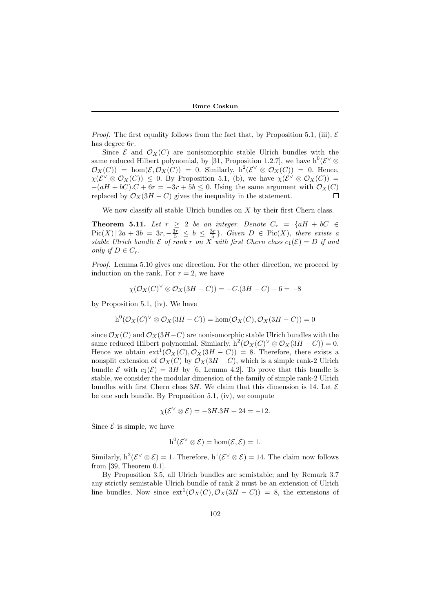*Proof.* The first equality follows from the fact that, by Proposition 5.1, (iii),  $\mathcal{E}$ has degree 6*r*.

Since  $\mathcal{E}$  and  $\mathcal{O}_X(C)$  are nonisomorphic stable Ulrich bundles with the same reduced Hilbert polynomial, by [31, Proposition 1.2.7], we have  $h^0(\mathcal{E}^{\vee} \otimes$  $\mathcal{O}_X(C)$  = hom $(\mathcal{E}, \mathcal{O}_X(C)) = 0$ . Similarly,  $h^2(\mathcal{E}^{\vee} \otimes \mathcal{O}_X(C)) = 0$ . Hence,  $\chi(\mathcal{E}^{\vee} \otimes \mathcal{O}_X(C)) \leq 0$ . By Proposition 5.1, (b), we have  $\chi(\mathcal{E}^{\vee} \otimes \mathcal{O}_X(C)) =$  $-(aH + bC) \cdot C + 6r = -3r + 5b \leq 0$ . Using the same argument with  $\mathcal{O}_X(C)$ replaced by  $\mathcal{O}_X(3H - C)$  gives the inequality in the statement.  $\Box$ 

We now classify all stable Ulrich bundles on *X* by their first Chern class.

**Theorem 5.11.** *Let*  $r \geq 2$  *be an integer. Denote*  $C_r = \{aH + bC \in$  $Pic(X) | 2a + 3b = 3r, -\frac{3r}{5} \leq b \leq \frac{3r}{5}$ . Given  $D \in Pic(X)$ , there exists a *stable Ulrich bundle*  $\mathcal E$  *of rank*  $r$  *on*  $X$  *with first Chern class*  $c_1(\mathcal{E}) = D$  *if and only if*  $D \in C_r$ *.* 

*Proof.* Lemma 5.10 gives one direction. For the other direction, we proceed by induction on the rank. For  $r = 2$ , we have

$$
\chi(\mathcal{O}_X(C)^{\vee} \otimes \mathcal{O}_X(3H - C)) = -C.(3H - C) + 6 = -8
$$

by Proposition 5.1, (iv). We have

$$
h^{0}(\mathcal{O}_{X}(C)^{\vee} \otimes \mathcal{O}_{X}(3H - C)) = \hom(\mathcal{O}_{X}(C), \mathcal{O}_{X}(3H - C)) = 0
$$

since  $\mathcal{O}_X(C)$  and  $\mathcal{O}_X(3H-C)$  are nonisomorphic stable Ulrich bundles with the same reduced Hilbert polynomial. Similarly,  $h^2(\mathcal{O}_X(C)^{\vee} \otimes \mathcal{O}_X(3H - C)) = 0$ . Hence we obtain  $ext^1(\mathcal{O}_X(C), \mathcal{O}_X(3H - C)) = 8$ . Therefore, there exists a nonsplit extension of  $\mathcal{O}_X(C)$  by  $\mathcal{O}_X(3H - C)$ , which is a simple rank-2 Ulrich bundle  $\mathcal E$  with  $c_1(\mathcal E) = 3H$  by [6, Lemma 4.2]. To prove that this bundle is stable, we consider the modular dimension of the family of simple rank-2 Ulrich bundles with first Chern class 3*H*. We claim that this dimension is 14. Let  $\mathcal E$ be one such bundle. By Proposition 5.1, (iv), we compute

$$
\chi(\mathcal{E}^{\vee} \otimes \mathcal{E}) = -3H.3H + 24 = -12.
$$

Since  $\mathcal E$  is simple, we have

$$
h^0(\mathcal{E}^{\vee} \otimes \mathcal{E}) = \hom(\mathcal{E}, \mathcal{E}) = 1.
$$

Similarly,  $h^2(\mathcal{E}^{\vee} \otimes \mathcal{E}) = 1$ . Therefore,  $h^1(\mathcal{E}^{\vee} \otimes \mathcal{E}) = 14$ . The claim now follows from [39, Theorem 0.1].

By Proposition 3.5, all Ulrich bundles are semistable; and by Remark 3.7 any strictly semistable Ulrich bundle of rank 2 must be an extension of Ulrich line bundles. Now since  $ext^1(\mathcal{O}_X(C), \mathcal{O}_X(3H - C)) = 8$ , the extensions of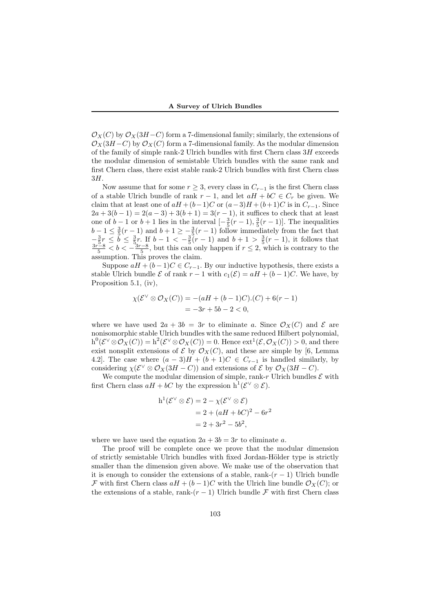$\mathcal{O}_X(C)$  by  $\mathcal{O}_X(3H-C)$  form a 7-dimensional family; similarly, the extensions of  $\mathcal{O}_X(3H-C)$  by  $\mathcal{O}_X(C)$  form a 7-dimensional family. As the modular dimension of the family of simple rank-2 Ulrich bundles with first Chern class 3*H* exceeds the modular dimension of semistable Ulrich bundles with the same rank and first Chern class, there exist stable rank-2 Ulrich bundles with first Chern class 3*H*.

Now assume that for some  $r \geq 3$ , every class in  $C_{r-1}$  is the first Chern class of a stable Ulrich bundle of rank  $r - 1$ , and let  $aH + bC \in C_r$  be given. We claim that at least one of  $aH + (b-1)C$  or  $(a-3)H + (b+1)C$  is in  $C_{r-1}$ . Since  $2a + 3(b-1) = 2(a-3) + 3(b+1) = 3(r-1)$ , it suffices to check that at least one of  $b-1$  or  $b+1$  lies in the interval  $\left[-\frac{3}{5}(r-1),\frac{3}{5}(r-1)\right]$ . The inequalities  $b-1 \leq \frac{3}{5}(r-1)$  and  $b+1 \geq -\frac{3}{5}(r-1)$  follow immediately from the fact that  $-\frac{3}{5}r \leq b \leq \frac{3}{5}r$ . If  $b-1 < -\frac{3}{5}(r-1)$  and  $b+1 > \frac{3}{5}(r-1)$ , it follows that  $\frac{3r-8}{5} < b < -\frac{3r-8}{5}$ , but this can only happen if  $r \leq 2$ , which is contrary to the assumption. This proves the claim.

Suppose  $aH + (b-1)C \in C_{r-1}$ . By our inductive hypothesis, there exists a stable Ulrich bundle  $\mathcal E$  of rank  $r-1$  with  $c_1(\mathcal E) = aH + (b-1)C$ . We have, by Proposition 5.1, (iv),

$$
\chi(\mathcal{E}^{\vee} \otimes \mathcal{O}_X(C)) = -(aH + (b-1)C) \cdot (C) + 6(r-1)
$$
  
= -3r + 5b - 2 < 0,

where we have used  $2a + 3b = 3r$  to eliminate a. Since  $\mathcal{O}_X(C)$  and  $\mathcal E$  are nonisomorphic stable Ulrich bundles with the same reduced Hilbert polynomial,  $h^0(\mathcal{E} \vee \otimes \mathcal{O}_X(C)) = h^2(\mathcal{E} \vee \otimes \mathcal{O}_X(C)) = 0.$  Hence  $ext^1(\mathcal{E}, \mathcal{O}_X(C)) > 0$ , and there exist nonsplit extensions of  $\mathcal E$  by  $\mathcal O_X(C)$ , and these are simple by [6, Lemma 4.2]. The case where  $(a-3)H + (b+1)C \in C_{r-1}$  is handled similarly, by considering  $\chi(\mathcal{E}^{\vee} \otimes \mathcal{O}_X(3H - C))$  and extensions of  $\mathcal{E}$  by  $\mathcal{O}_X(3H - C)$ .

We compute the modular dimension of simple, rank- $r$  Ulrich bundles  $\mathcal E$  with first Chern class  $aH + bC$  by the expression  $h^1(\mathcal{E} \vee \otimes \mathcal{E})$ .

$$
h1(\mathcal{E}^{\vee} \otimes \mathcal{E}) = 2 - \chi(\mathcal{E}^{\vee} \otimes \mathcal{E})
$$
  
= 2 + (aH + bC)<sup>2</sup> - 6r<sup>2</sup>  
= 2 + 3r<sup>2</sup> - 5b<sup>2</sup>,

where we have used the equation  $2a + 3b = 3r$  to eliminate *a*.

The proof will be complete once we prove that the modular dimension of strictly semistable Ulrich bundles with fixed Jordan-Hölder type is strictly smaller than the dimension given above. We make use of the observation that it is enough to consider the extensions of a stable, rank- $(r-1)$  Ulrich bundle *F* with first Chern class  $aH + (b-1)C$  with the Ulrich line bundle  $\mathcal{O}_X(C)$ ; or the extensions of a stable, rank- $(r-1)$  Ulrich bundle  $\mathcal F$  with first Chern class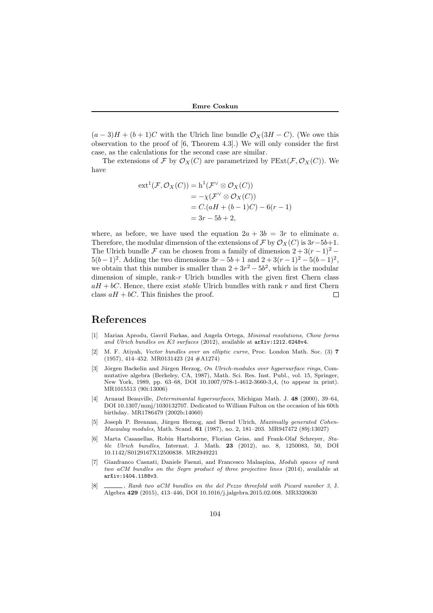$(a-3)H + (b+1)C$  with the Ulrich line bundle  $\mathcal{O}_X(3H - C)$ . (We owe this observation to the proof of [6, Theorem 4.3].) We will only consider the first case, as the calculations for the second case are similar.

The extensions of *F* by  $\mathcal{O}_X(C)$  are parametrized by  $\mathbb{P} \text{Ext}(\mathcal{F}, \mathcal{O}_X(C))$ . We have

$$
ext^{1}(\mathcal{F}, \mathcal{O}_{X}(C)) = h^{1}(\mathcal{F}^{\vee} \otimes \mathcal{O}_{X}(C))
$$
  
=  $-\chi(\mathcal{F}^{\vee} \otimes \mathcal{O}_{X}(C))$   
=  $C.(aH + (b-1)C) - 6(r - 1)$   
=  $3r - 5b + 2$ ,

where, as before, we have used the equation  $2a + 3b = 3r$  to eliminate *a*. Therefore, the modular dimension of the extensions of  $\mathcal F$  by  $\mathcal O_X(C)$  is  $3r-5b+1$ . The Ulrich bundle  $\mathcal F$  can be chosen from a family of dimension  $2 + 3(r - 1)^2$  *−*  $5(b-1)^2$ . Adding the two dimensions  $3r - 5b + 1$  and  $2 + 3(r - 1)^2 - 5(b - 1)^2$ , we obtain that this number is smaller than  $2 + 3r^2 - 5b^2$ , which is the modular dimension of simple, rank-*r* Ulrich bundles with the given first Chern class  $aH + bC$ . Hence, there exist *stable* Ulrich bundles with rank *r* and first Chern class  $aH + bC$ . This finishes the proof. П

### **References**

- [1] Marian Aprodu, Gavril Farkas, and Angela Ortega, *Minimal resolutions, Chow forms and Ulrich bundles on K3 surfaces* (2012), available at arXiv:1212.6248v4.
- [2] M. F. Atiyah, *Vector bundles over an elliptic curve*, Proc. London Math. Soc. (3) **7** (1957), 414–452. MR0131423 (24 #A1274)
- [3] Jörgen Backelin and Jürgen Herzog, *On Ulrich-modules over hypersurface rings*, Commutative algebra (Berkeley, CA, 1987), Math. Sci. Res. Inst. Publ., vol. 15, Springer, New York, 1989, pp. 63–68, DOI 10.1007/978-1-4612-3660-3 4, (to appear in print). MR1015513 (90i:13006)
- [4] Arnaud Beauville, *Determinantal hypersurfaces*, Michigan Math. J. **48** (2000), 39–64, DOI 10.1307/mmj/1030132707. Dedicated to William Fulton on the occasion of his 60th birthday. MR1786479 (2002b:14060)
- Joseph P. Brennan, Jürgen Herzog, and Bernd Ulrich, *Maximally generated Cohen-Macaulay modules*, Math. Scand. **61** (1987), no. 2, 181–203. MR947472 (89j:13027)
- [6] Marta Casanellas, Robin Hartshorne, Florian Geiss, and Frank-Olaf Schreyer, *Stable Ulrich bundles*, Internat. J. Math. **23** (2012), no. 8, 1250083, 50, DOI 10.1142/S0129167X12500838. MR2949221
- [7] Gianfranco Casnati, Daniele Faenzi, and Francesco Malaspina, *Moduli spaces of rank two aCM bundles on the Segre product of three projective lines* (2014), available at arXiv:1404.1188v3.
- [8] , *Rank two aCM bundles on the del Pezzo threefold with Picard number 3*, J. Algebra **429** (2015), 413–446, DOI 10.1016/j.jalgebra.2015.02.008. MR3320630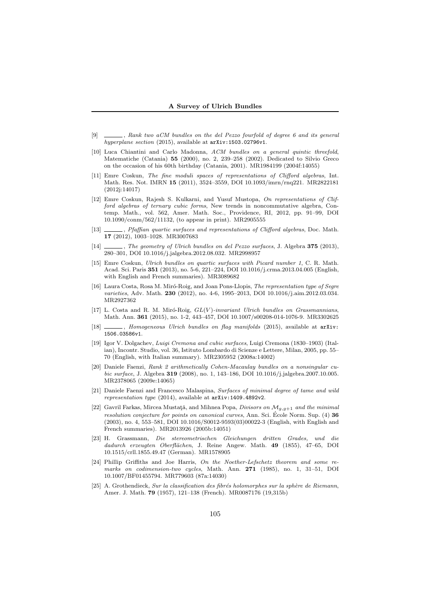#### **A Survey of Ulrich Bundles**

- [9] , *Rank two aCM bundles on the del Pezzo fourfold of degree 6 and its general hyperplane section* (2015), available at arXiv:1503.02796v1.
- [10] Luca Chiantini and Carlo Madonna, *ACM bundles on a general quintic threefold*, Matematiche (Catania) **55** (2000), no. 2, 239–258 (2002). Dedicated to Silvio Greco on the occasion of his 60th birthday (Catania, 2001). MR1984199 (2004f:14055)
- [11] Emre Coskun, *The fine moduli spaces of representations of Clifford algebras*, Int. Math. Res. Not. IMRN **15** (2011), 3524–3559, DOI 10.1093/imrn/rnq221. MR2822181 (2012j:14017)
- [12] Emre Coskun, Rajesh S. Kulkarni, and Yusuf Mustopa, *On representations of Clifford algebras of ternary cubic forms*, New trends in noncommutative algebra, Contemp. Math., vol. 562, Amer. Math. Soc., Providence, RI, 2012, pp. 91–99, DOI 10.1090/conm/562/11132, (to appear in print). MR2905555
- [13] , *Pfaffian quartic surfaces and representations of Clifford algebras*, Doc. Math. **17** (2012), 1003–1028. MR3007683
- [14] , *The geometry of Ulrich bundles on del Pezzo surfaces*, J. Algebra **375** (2013), 280–301, DOI 10.1016/j.jalgebra.2012.08.032. MR2998957
- [15] Emre Coskun, *Ulrich bundles on quartic surfaces with Picard number 1*, C. R. Math. Acad. Sci. Paris **351** (2013), no. 5-6, 221–224, DOI 10.1016/j.crma.2013.04.005 (English, with English and French summaries). MR3089682
- [16] Laura Costa, Rosa M. Mir´o-Roig, and Joan Pons-Llopis, *The representation type of Segre varieties*, Adv. Math. **230** (2012), no. 4-6, 1995–2013, DOI 10.1016/j.aim.2012.03.034. MR2927362
- [17] L. Costa and R. M. Mir´o-Roig, *GL*(*V* )*-invariant Ulrich bundles on Grassmannians*, Math. Ann. **361** (2015), no. 1-2, 443–457, DOI 10.1007/s00208-014-1076-9. MR3302625
- [18] *\_\_\_\_, Homogeneous Ulrich bundles on flag manifolds* (2015), available at  $arXiv$ : 1506.03586v1.
- [19] Igor V. Dolgachev, *Luigi Cremona and cubic surfaces*, Luigi Cremona (1830–1903) (Italian), Incontr. Studio, vol. 36, Istituto Lombardo di Scienze e Lettere, Milan, 2005, pp. 55– 70 (English, with Italian summary). MR2305952 (2008a:14002)
- [20] Daniele Faenzi, *Rank 2 arithmetically Cohen-Macaulay bundles on a nonsingular cubic surface*, J. Algebra **319** (2008), no. 1, 143–186, DOI 10.1016/j.jalgebra.2007.10.005. MR2378065 (2009e:14065)
- [21] Daniele Faenzi and Francesco Malaspina, *Surfaces of minimal degree of tame and wild representation type* (2014), available at arXiv:1409.4892v2.
- [22] Gavril Farkas, Mircea Mustată, and Mihnea Popa, *Divisors on*  $\mathcal{M}_{g,g+1}$  and the minimal *resolution conjecture for points on canonical curves*, Ann. Sci. École Norm. Sup. (4) **36** (2003), no. 4, 553–581, DOI 10.1016/S0012-9593(03)00022-3 (English, with English and French summaries). MR2013926 (2005b:14051)
- [23] H. Grassmann, *Die stereometrischen Gleichungen dritten Grades, und die dadurch erzeugten Oberfl¨achen*, J. Reine Angew. Math. **49** (1855), 47–65, DOI 10.1515/crll.1855.49.47 (German). MR1578905
- [24] Phillip Griffiths and Joe Harris, *On the Noether-Lefschetz theorem and some remarks on codimension-two cycles*, Math. Ann. **271** (1985), no. 1, 31–51, DOI 10.1007/BF01455794. MR779603 (87a:14030)
- [25] A. Grothendieck, *Sur la classification des fibrés holomorphes sur la sphère de Riemann*, Amer. J. Math. **79** (1957), 121–138 (French). MR0087176 (19,315b)